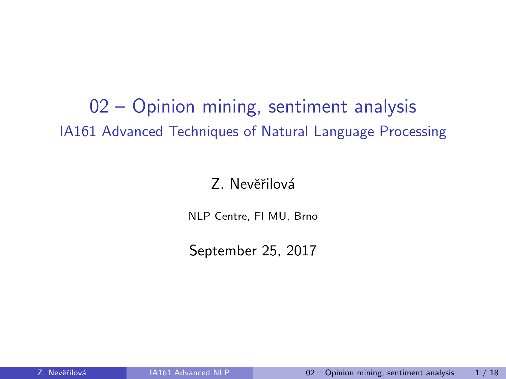<span id="page-0-0"></span>02 – Opinion mining, sentiment analysis IA161 Advanced Techniques of Natural Language Processing

#### Z. Nevěřilová

NLP Centre, FI MU, Brno

September 25, 2017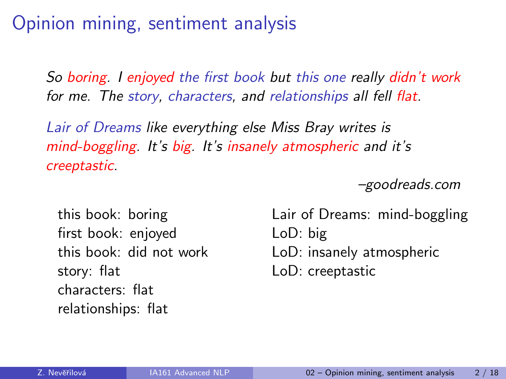## Opinion mining, sentiment analysis

So boring. I enjoyed the first book but this one really didn't work for me. The story, characters, and relationships all fell flat.

Lair of Dreams like everything else Miss Bray writes is mind-boggling. It's big. It's insanely atmospheric and it's creeptastic.

–goodreads.com

this book: boring first book: enjoyed this book: did not work story: flat characters: flat relationships: flat

Lair of Dreams: mind-boggling LoD: big LoD: insanely atmospheric LoD: creeptastic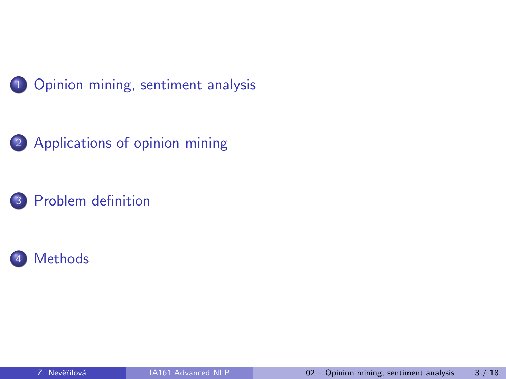



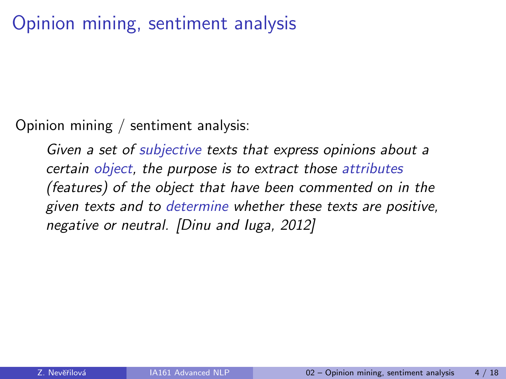## <span id="page-3-0"></span>Opinion mining, sentiment analysis

Opinion mining / sentiment analysis:

Given a set of subjective texts that express opinions about a certain object, the purpose is to extract those attributes (features) of the object that have been commented on in the given texts and to determine whether these texts are positive, negative or neutral. [\[Dinu and Iuga, 2012\]](#page-15-0)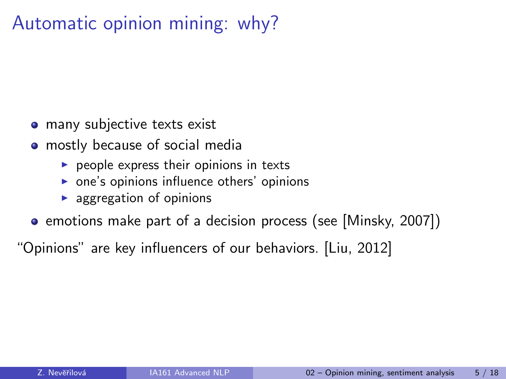## Automatic opinion mining: why?

- many subjective texts exist
- mostly because of social media
	- $\blacktriangleright$  people express their opinions in texts
	- $\triangleright$  one's opinions influence others' opinions
	- $\blacktriangleright$  aggregation of opinions
- emotions make part of a decision process (see [\[Minsky, 2007\]](#page-16-0))

"Opinions" are key influencers of our behaviors. [\[Liu, 2012\]](#page-16-1)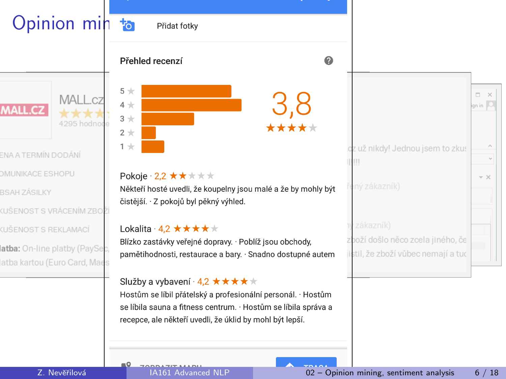<span id="page-5-0"></span>

| Opinion min to                                                |                                                                                                                                                                                                                                 |                                                                          |                         |
|---------------------------------------------------------------|---------------------------------------------------------------------------------------------------------------------------------------------------------------------------------------------------------------------------------|--------------------------------------------------------------------------|-------------------------|
|                                                               | Přidat fotky                                                                                                                                                                                                                    |                                                                          |                         |
|                                                               | Přehled recenzí<br>ℯ                                                                                                                                                                                                            |                                                                          |                         |
| <b>MALL</b><br><b>MALL.CZ</b>                                 | $5 +$<br>3,8<br>$4 +$<br>$3 +$<br>$2 +$                                                                                                                                                                                         |                                                                          | Ξ.<br>$\times$<br>gn in |
| ENA A TERMÍN DODÁNÍ                                           | $1 +$                                                                                                                                                                                                                           | cz už nikdy! Jednou jsem to zkus                                         |                         |
| <b>DMUNIKACE ESHOPU</b>                                       | Pokoje · 2,2 ★★★★★                                                                                                                                                                                                              |                                                                          | $- \times$              |
| <b>BSAH ZÁSILKY</b>                                           | Někteří hosté uvedli, že koupelny jsou malé a že by mohly být                                                                                                                                                                   | ený zákazník)                                                            |                         |
| (UŠENOST S VRÁCENÍM ZBOŽ                                      | čistější. · Z pokojů byl pěkný výhled.                                                                                                                                                                                          |                                                                          |                         |
| (UŠENOST S REKLAMACÍ                                          | Lokalita · 4,2 ★ ★ ★ ★ ★                                                                                                                                                                                                        | zákazník)                                                                |                         |
| atba: On-line platby (PaySec,<br>atba kartou (Euro Card, Maes | Blízko zastávky veřejné dopravy. · Poblíž jsou obchody,<br>pamětihodnosti, restaurace a bary. · Snadno dostupné autem                                                                                                           | zboží došlo něco zcela jiného, če<br>ilstil, že zboží vůbec nemají a tud |                         |
|                                                               | Služby a vybavení · 4,2 ★ ★ ★ ★ ★<br>Hostům se líbil přátelský a profesionální personál. · Hostům<br>se líbila sauna a fitness centrum. · Hostům se líbila správa a<br>recepce, ale někteří uvedli, že úklid by mohl být lepší. |                                                                          |                         |
|                                                               |                                                                                                                                                                                                                                 |                                                                          |                         |

 $= 0$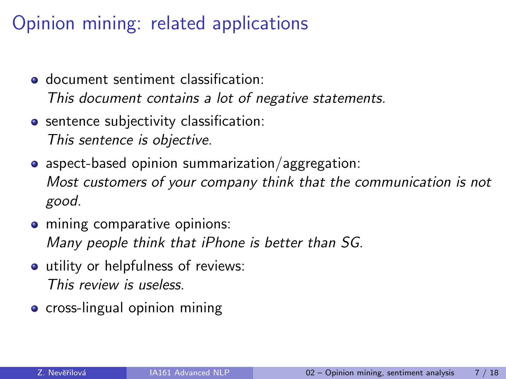## Opinion mining: related applications

- document sentiment classification: This document contains a lot of negative statements.
- **•** sentence subjectivity classification: This sentence is objective.
- aspect-based opinion summarization/aggregation: Most customers of your company think that the communication is not good.
- **•** mining comparative opinions: Many people think that iPhone is better than SG.
- utility or helpfulness of reviews: This review is useless.
- **•** cross-lingual opinion mining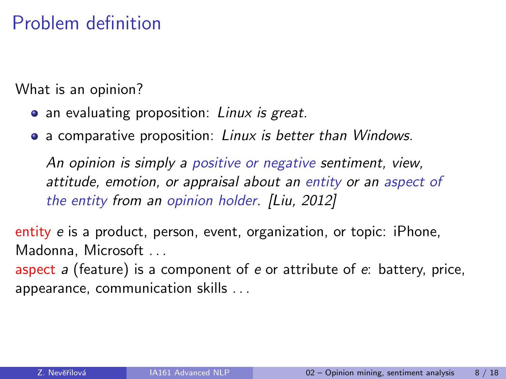<span id="page-7-0"></span>What is an opinion?

- an evaluating proposition: Linux is great.
- a comparative proposition: Linux is better than Windows.

An opinion is simply a positive or negative sentiment, view, attitude, emotion, or appraisal about an entity or an aspect of the entity from an opinion holder. [\[Liu, 2012\]](#page-16-1)

entity e is a product, person, event, organization, or topic: iPhone, Madonna, Microsoft . . .

aspect a (feature) is a component of e or attribute of  $e$ : battery, price, appearance, communication skills . . .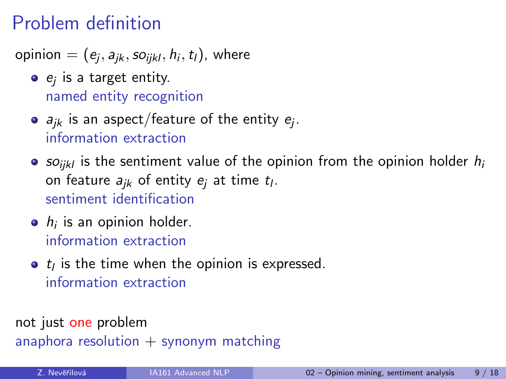opinion  $=(e_j,a_{jk},so_{ijkl},h_i,t_l)$ , where

- $e_j$  is a target entity. named entity recognition
- $a_{jk}$  is an aspect/feature of the entity  $e_j.$ information extraction
- so<sub>ikl</sub> is the sentiment value of the opinion from the opinion holder  $h_i$ on feature  $a_{jk}$  of entity  $e_j$  at time  $t_l.$ sentiment identification
- $h_i$  is an opinion holder. information extraction
- $t_i$  is the time when the opinion is expressed. information extraction

not just one problem anaphora resolution  $+$  synonym matching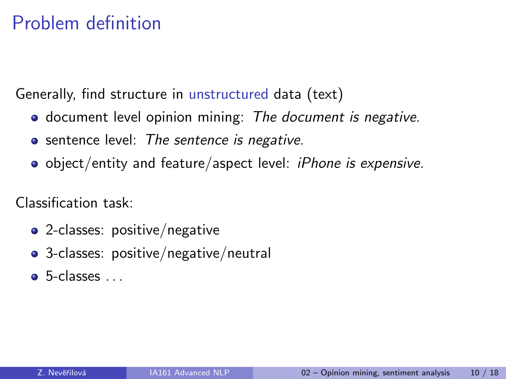Generally, find structure in unstructured data (text)

- **o** document level opinion mining: The document is negative.
- **•** sentence level: The sentence is negative.
- object/entity and feature/aspect level: iPhone is expensive.

Classification task:

- 2-classes: positive/negative
- 3-classes: positive/negative/neutral
- $\bullet$  5-classes  $\dots$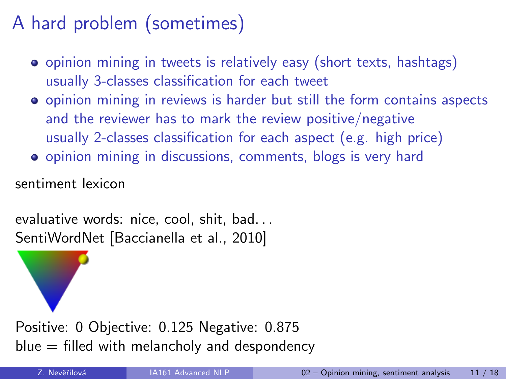# A hard problem (sometimes)

- opinion mining in tweets is relatively easy (short texts, hashtags) usually 3-classes classification for each tweet
- opinion mining in reviews is harder but still the form contains aspects and the reviewer has to mark the review positive/negative usually 2-classes classification for each aspect (e.g. high price)
- opinion mining in discussions, comments, blogs is very hard

sentiment lexicon

evaluative words: nice, cool, shit, bad. . . SentiWordNet [\[Baccianella et al., 2010\]](#page-15-1)

Positive: 0 Objective: 0.125 Negative: 0.875  $blue = filled with$  melancholy and despondency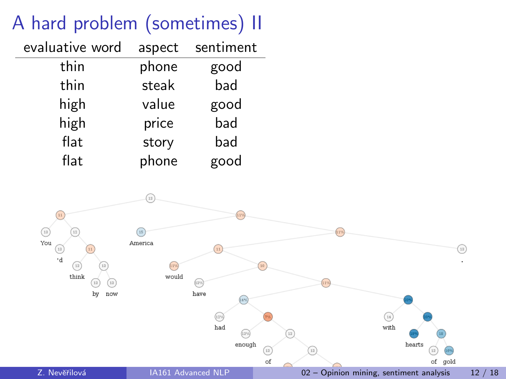# A hard problem (sometimes) II

| evaluative word | aspect | sentiment |
|-----------------|--------|-----------|
| thin            | phone  | good      |
| thin            | steak  | bad       |
| high            | value  | good      |
| high            | price  | bad       |
| flat            | story  | bad       |
| flat            | phone  | good      |

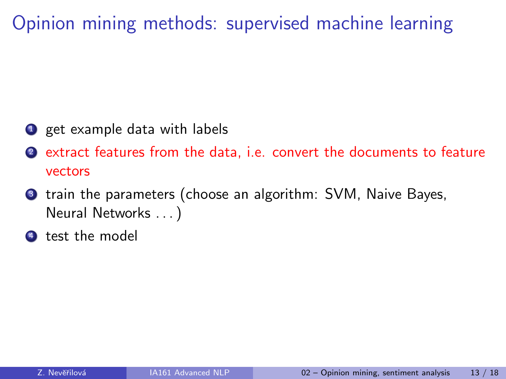<span id="page-12-0"></span>Opinion mining methods: supervised machine learning

- **1** get example data with labels
- <sup>2</sup> extract features from the data, i.e. convert the documents to feature vectors
- **3** train the parameters (choose an algorithm: SVM, Naive Bayes, Neural Networks . . . )
- <sup>4</sup> test the model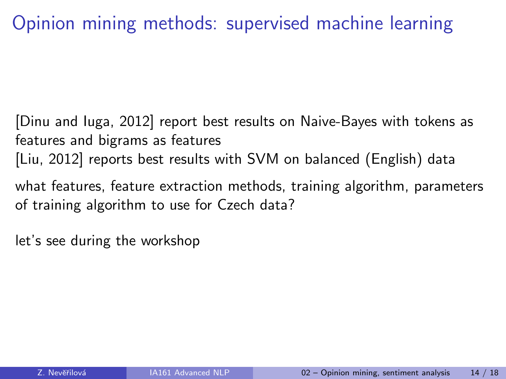## Opinion mining methods: supervised machine learning

[\[Dinu and Iuga, 2012\]](#page-15-0) report best results on Naive-Bayes with tokens as features and bigrams as features [\[Liu, 2012\]](#page-16-1) reports best results with SVM on balanced (English) data

what features, feature extraction methods, training algorithm, parameters of training algorithm to use for Czech data?

let's see during the workshop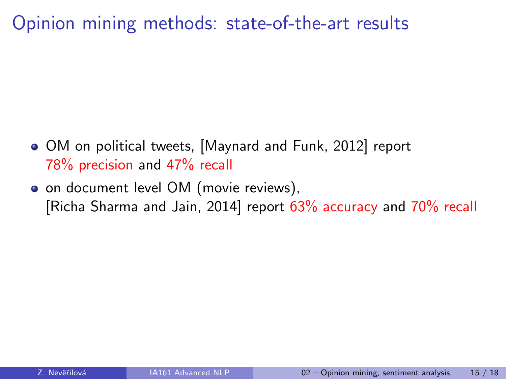Opinion mining methods: state-of-the-art results

- OM on political tweets, [\[Maynard and Funk, 2012\]](#page-16-2) report 78% precision and 47% recall
- on document level OM (movie reviews), [\[Richa Sharma and Jain, 2014\]](#page-17-1) report 63% accuracy and 70% recall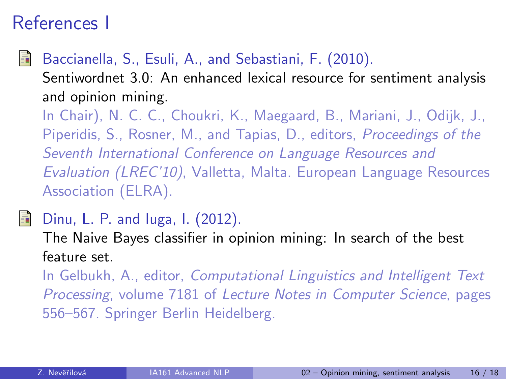## References I

### <span id="page-15-1"></span>Baccianella, S., Esuli, A., and Sebastiani, F. (2010).

Sentiwordnet 3.0: An enhanced lexical resource for sentiment analysis and opinion mining.

In Chair), N. C. C., Choukri, K., Maegaard, B., Mariani, J., Odijk, J., Piperidis, S., Rosner, M., and Tapias, D., editors, Proceedings of the Seventh International Conference on Language Resources and Evaluation (LREC'10), Valletta, Malta. European Language Resources Association (ELRA).

<span id="page-15-0"></span>

#### Dinu, L. P. and Iuga, I. (2012).

The Naive Bayes classifier in opinion mining: In search of the best feature set.

In Gelbukh, A., editor, Computational Linguistics and Intelligent Text Processing, volume 7181 of Lecture Notes in Computer Science, pages 556–567. Springer Berlin Heidelberg.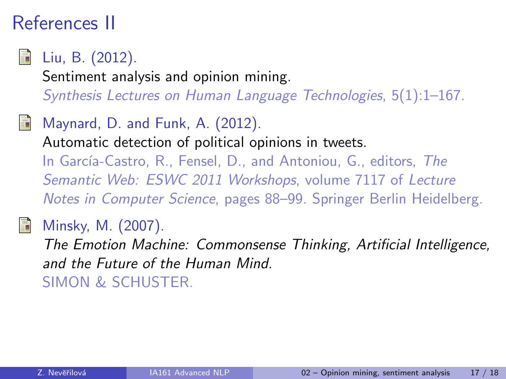## References II

<span id="page-16-1"></span>

Liu, B. (2012).

Sentiment analysis and opinion mining.

Synthesis Lectures on Human Language Technologies, 5(1):1–167.

<span id="page-16-2"></span>Maynard, D. and Funk, A. (2012).

Automatic detection of political opinions in tweets.

In García-Castro, R., Fensel, D., and Antoniou, G., editors, The Semantic Web: ESWC 2011 Workshops, volume 7117 of Lecture Notes in Computer Science, pages 88–99. Springer Berlin Heidelberg.

## <span id="page-16-0"></span>Minsky, M. (2007).

The Emotion Machine: Commonsense Thinking, Artificial Intelligence, and the Future of the Human Mind. SIMON & SCHUSTER.